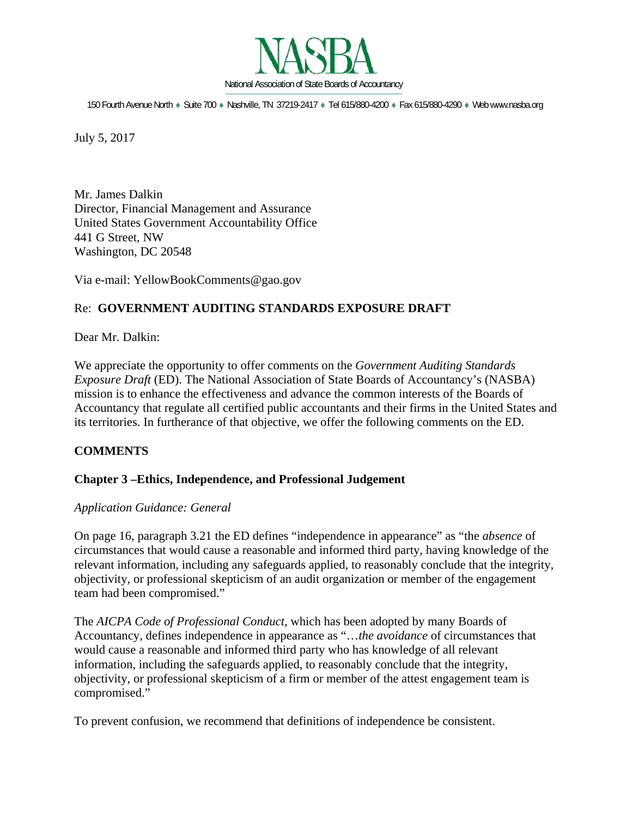

150 Fourth Avenue North · Suite 700 · Nashville, TN 37219-2417 · Tel 615/880-4200 · Fax 615/880-4290 · Web www.nasba.org

July 5, 2017

Mr. James Dalkin Director, Financial Management and Assurance United States Government Accountability Office 441 G Street, NW Washington, DC 20548

Via e-mail: YellowBookComments@gao.gov

# Re: **GOVERNMENT AUDITING STANDARDS EXPOSURE DRAFT**

Dear Mr. Dalkin:

We appreciate the opportunity to offer comments on the *Government Auditing Standards Exposure Draft* (ED). The National Association of State Boards of Accountancy's (NASBA) mission is to enhance the effectiveness and advance the common interests of the Boards of Accountancy that regulate all certified public accountants and their firms in the United States and its territories. In furtherance of that objective, we offer the following comments on the ED.

## **COMMENTS**

#### **Chapter 3 –Ethics, Independence, and Professional Judgement**

#### *Application Guidance: General*

On page 16, paragraph 3.21 the ED defines "independence in appearance" as "the *absence* of circumstances that would cause a reasonable and informed third party, having knowledge of the relevant information, including any safeguards applied, to reasonably conclude that the integrity, objectivity, or professional skepticism of an audit organization or member of the engagement team had been compromised."

The *AICPA Code of Professional Conduct*, which has been adopted by many Boards of Accountancy, defines independence in appearance as "…*the avoidance* of circumstances that would cause a reasonable and informed third party who has knowledge of all relevant information, including the safeguards applied, to reasonably conclude that the integrity, objectivity, or professional skepticism of a firm or member of the attest engagement team is compromised."

To prevent confusion, we recommend that definitions of independence be consistent.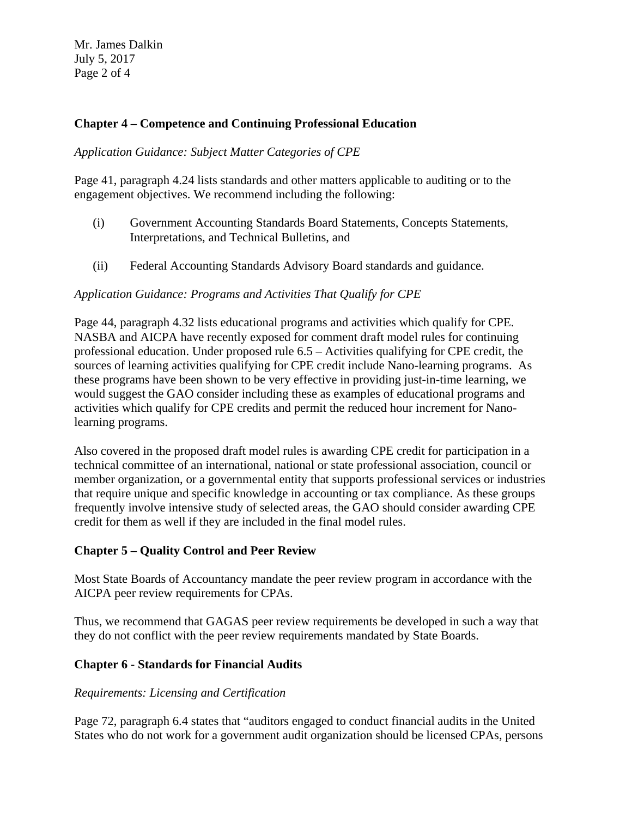Mr. James Dalkin July 5, 2017 Page 2 of 4

## **Chapter 4 – Competence and Continuing Professional Education**

### *Application Guidance: Subject Matter Categories of CPE*

Page 41, paragraph 4.24 lists standards and other matters applicable to auditing or to the engagement objectives. We recommend including the following:

- (i) Government Accounting Standards Board Statements, Concepts Statements, Interpretations, and Technical Bulletins, and
- (ii) Federal Accounting Standards Advisory Board standards and guidance.

## *Application Guidance: Programs and Activities That Qualify for CPE*

Page 44, paragraph 4.32 lists educational programs and activities which qualify for CPE. NASBA and AICPA have recently exposed for comment draft model rules for continuing professional education. Under proposed rule 6.5 – Activities qualifying for CPE credit, the sources of learning activities qualifying for CPE credit include Nano-learning programs. As these programs have been shown to be very effective in providing just-in-time learning, we would suggest the GAO consider including these as examples of educational programs and activities which qualify for CPE credits and permit the reduced hour increment for Nanolearning programs.

Also covered in the proposed draft model rules is awarding CPE credit for participation in a technical committee of an international, national or state professional association, council or member organization, or a governmental entity that supports professional services or industries that require unique and specific knowledge in accounting or tax compliance. As these groups frequently involve intensive study of selected areas, the GAO should consider awarding CPE credit for them as well if they are included in the final model rules.

#### **Chapter 5 – Quality Control and Peer Review**

Most State Boards of Accountancy mandate the peer review program in accordance with the AICPA peer review requirements for CPAs.

Thus, we recommend that GAGAS peer review requirements be developed in such a way that they do not conflict with the peer review requirements mandated by State Boards.

#### **Chapter 6 - Standards for Financial Audits**

#### *Requirements: Licensing and Certification*

Page 72, paragraph 6.4 states that "auditors engaged to conduct financial audits in the United States who do not work for a government audit organization should be licensed CPAs, persons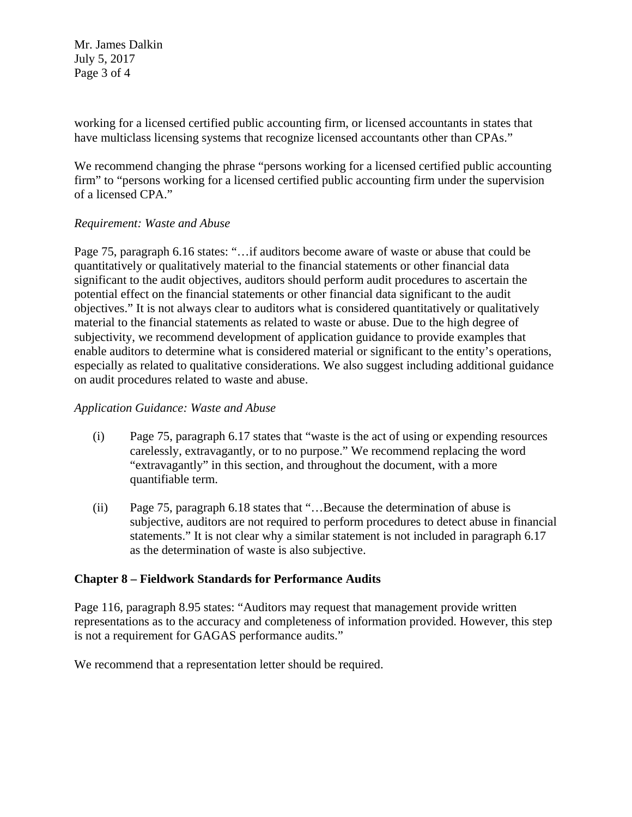Mr. James Dalkin July 5, 2017 Page 3 of 4

working for a licensed certified public accounting firm, or licensed accountants in states that have multiclass licensing systems that recognize licensed accountants other than CPAs."

We recommend changing the phrase "persons working for a licensed certified public accounting firm" to "persons working for a licensed certified public accounting firm under the supervision of a licensed CPA."

#### *Requirement: Waste and Abuse*

Page 75, paragraph 6.16 states: "…if auditors become aware of waste or abuse that could be quantitatively or qualitatively material to the financial statements or other financial data significant to the audit objectives, auditors should perform audit procedures to ascertain the potential effect on the financial statements or other financial data significant to the audit objectives." It is not always clear to auditors what is considered quantitatively or qualitatively material to the financial statements as related to waste or abuse. Due to the high degree of subjectivity, we recommend development of application guidance to provide examples that enable auditors to determine what is considered material or significant to the entity's operations, especially as related to qualitative considerations. We also suggest including additional guidance on audit procedures related to waste and abuse.

## *Application Guidance: Waste and Abuse*

- (i) Page 75, paragraph 6.17 states that "waste is the act of using or expending resources carelessly, extravagantly, or to no purpose." We recommend replacing the word "extravagantly" in this section, and throughout the document, with a more quantifiable term.
- (ii) Page 75, paragraph 6.18 states that "…Because the determination of abuse is subjective, auditors are not required to perform procedures to detect abuse in financial statements." It is not clear why a similar statement is not included in paragraph 6.17 as the determination of waste is also subjective.

## **Chapter 8 – Fieldwork Standards for Performance Audits**

Page 116, paragraph 8.95 states: "Auditors may request that management provide written representations as to the accuracy and completeness of information provided. However, this step is not a requirement for GAGAS performance audits."

We recommend that a representation letter should be required.